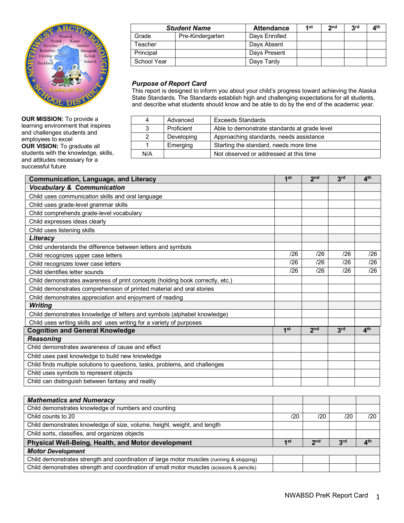

**OUR MISSION:** To provide a learning environment that inspires and challenges students and employees to excel **OUR VISION:** To graduate all students with the knowledge, skills, and attitudes necessary for a successful future

|             | <b>Student Name</b> | <b>Attendance</b> | 4 st | <b>o</b> nd | <b>2rd</b> | A <sup>th</sup> |
|-------------|---------------------|-------------------|------|-------------|------------|-----------------|
| Grade       | Pre-Kindergarten    | Days Enrolled     |      |             |            |                 |
| Teacher     |                     | Days Absent       |      |             |            |                 |
| Principal   |                     | Days Present      |      |             |            |                 |
| School Year |                     | Days Tardy        |      |             |            |                 |

## *Purpose of Report Card*

This report is designed to inform you about your child's progress toward achieving the Alaska State Standards. The Standards establish high and challenging expectations for all students, and describe what students should know and be able to do by the end of the academic year.

| 4             | Advanced   | <b>Exceeds Standards</b>                     |
|---------------|------------|----------------------------------------------|
| 3             | Proficient | Able to demonstrate standards at grade level |
| $\mathcal{P}$ | Developing | Approaching standards, needs assistance      |
|               | Emerging   | Starting the standard, needs more time       |
| N/A           |            | Not observed or addressed at this time       |

| <b>Communication, Language, and Literacy</b>                                  |                 | 2 <sub>nd</sub> | 3rd | $\mathbf{A}^{\text{th}}$ |
|-------------------------------------------------------------------------------|-----------------|-----------------|-----|--------------------------|
| <b>Vocabulary &amp; Communication</b>                                         |                 |                 |     |                          |
| Child uses communication skills and oral language                             |                 |                 |     |                          |
| Child uses grade-level grammar skills                                         |                 |                 |     |                          |
| Child comprehends grade-level vocabulary                                      |                 |                 |     |                          |
| Child expresses ideas clearly                                                 |                 |                 |     |                          |
| Child uses listening skills                                                   |                 |                 |     |                          |
| Literacy                                                                      |                 |                 |     |                          |
| Child understands the difference between letters and symbols                  |                 |                 |     |                          |
| Child recognizes upper case letters                                           | /26             | /26             | /26 | /26                      |
| Child recognizes lower case letters                                           | /26             | /26             | /26 | /26                      |
| Child identifies letter sounds                                                | /26             | /26             | /26 | /26                      |
| Child demonstrates awareness of print concepts (holding book correctly, etc.) |                 |                 |     |                          |
| Child demonstrates comprehension of printed material and oral stories         |                 |                 |     |                          |
| Child demonstrates appreciation and enjoyment of reading                      |                 |                 |     |                          |
| <b>Writing</b>                                                                |                 |                 |     |                          |
| Child demonstrates knowledge of letters and symbols (alphabet knowledge)      |                 |                 |     |                          |
| Child uses writing skills and uses writing for a variety of purposes          |                 |                 |     |                          |
| <b>Cognition and General Knowledge</b>                                        | 1 <sup>st</sup> | 2 <sub>nd</sub> | 3rd | $\mathbf{A}^{\text{th}}$ |
| <b>Reasoning</b>                                                              |                 |                 |     |                          |
| Child demonstrates awareness of cause and effect                              |                 |                 |     |                          |
| Child uses past knowledge to build new knowledge                              |                 |                 |     |                          |
| Child finds multiple solutions to questions, tasks, problems, and challenges  |                 |                 |     |                          |
| Child uses symbols to represent objects                                       |                 |                 |     |                          |
| Child can distinguish between fantasy and reality                             |                 |                 |     |                          |

| /20 | /20             | /20             | /20             |
|-----|-----------------|-----------------|-----------------|
|     |                 |                 |                 |
|     |                 |                 |                 |
| 1st | 2 <sub>nd</sub> | 3 <sup>rd</sup> | 4 <sup>th</sup> |
|     |                 |                 |                 |
|     |                 |                 |                 |
|     |                 |                 |                 |
|     |                 |                 |                 |